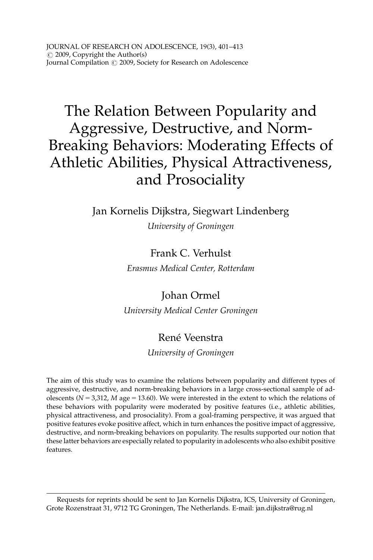# The Relation Between Popularity and Aggressive, Destructive, and Norm-Breaking Behaviors: Moderating Effects of Athletic Abilities, Physical Attractiveness, and Prosociality

Jan Kornelis Dijkstra, Siegwart Lindenberg University of Groningen

# Frank C. Verhulst Erasmus Medical Center, Rotterdam

Johan Ormel

University Medical Center Groningen

# René Veenstra

University of Groningen

The aim of this study was to examine the relations between popularity and different types of aggressive, destructive, and norm-breaking behaviors in a large cross-sectional sample of adolescents ( $N = 3,312$ , M age = 13.60). We were interested in the extent to which the relations of these behaviors with popularity were moderated by positive features (i.e., athletic abilities, physical attractiveness, and prosociality). From a goal-framing perspective, it was argued that positive features evoke positive affect, which in turn enhances the positive impact of aggressive, destructive, and norm-breaking behaviors on popularity. The results supported our notion that these latter behaviors are especially related to popularity in adolescents who also exhibit positive features.

Requests for reprints should be sent to Jan Kornelis Dijkstra, ICS, University of Groningen, Grote Rozenstraat 31, 9712 TG Groningen, The Netherlands. E-mail: [jan.dijkstra@rug.nl](i:/BWUS/JORA/594/jan.dijkstra@rug.nl)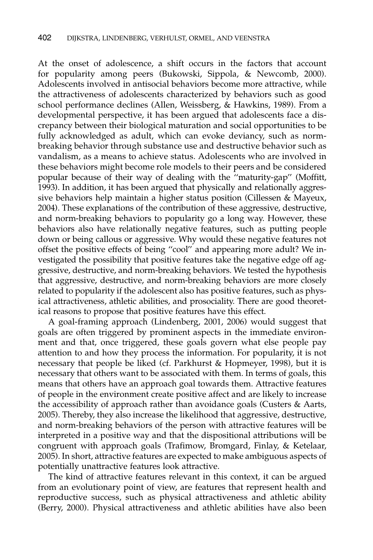At the onset of adolescence, a shift occurs in the factors that account for popularity among peers (Bukowski, Sippola, & Newcomb, 2000). Adolescents involved in antisocial behaviors become more attractive, while the attractiveness of adolescents characterized by behaviors such as good school performance declines (Allen, Weissberg, & Hawkins, 1989). From a developmental perspective, it has been argued that adolescents face a discrepancy between their biological maturation and social opportunities to be fully acknowledged as adult, which can evoke deviancy, such as normbreaking behavior through substance use and destructive behavior such as vandalism, as a means to achieve status. Adolescents who are involved in these behaviors might become role models to their peers and be considered popular because of their way of dealing with the ''maturity-gap'' (Moffitt, 1993). In addition, it has been argued that physically and relationally aggressive behaviors help maintain a higher status position (Cillessen & Mayeux, 2004). These explanations of the contribution of these aggressive, destructive, and norm-breaking behaviors to popularity go a long way. However, these behaviors also have relationally negative features, such as putting people down or being callous or aggressive. Why would these negative features not offset the positive effects of being ''cool'' and appearing more adult? We investigated the possibility that positive features take the negative edge off aggressive, destructive, and norm-breaking behaviors. We tested the hypothesis that aggressive, destructive, and norm-breaking behaviors are more closely related to popularity if the adolescent also has positive features, such as physical attractiveness, athletic abilities, and prosociality. There are good theoretical reasons to propose that positive features have this effect.

A goal-framing approach (Lindenberg, 2001, 2006) would suggest that goals are often triggered by prominent aspects in the immediate environment and that, once triggered, these goals govern what else people pay attention to and how they process the information. For popularity, it is not necessary that people be liked (cf. Parkhurst & Hopmeyer, 1998), but it is necessary that others want to be associated with them. In terms of goals, this means that others have an approach goal towards them. Attractive features of people in the environment create positive affect and are likely to increase the accessibility of approach rather than avoidance goals (Custers & Aarts, 2005). Thereby, they also increase the likelihood that aggressive, destructive, and norm-breaking behaviors of the person with attractive features will be interpreted in a positive way and that the dispositional attributions will be congruent with approach goals (Trafimow, Bromgard, Finlay, & Ketelaar, 2005). In short, attractive features are expected to make ambiguous aspects of potentially unattractive features look attractive.

The kind of attractive features relevant in this context, it can be argued from an evolutionary point of view, are features that represent health and reproductive success, such as physical attractiveness and athletic ability (Berry, 2000). Physical attractiveness and athletic abilities have also been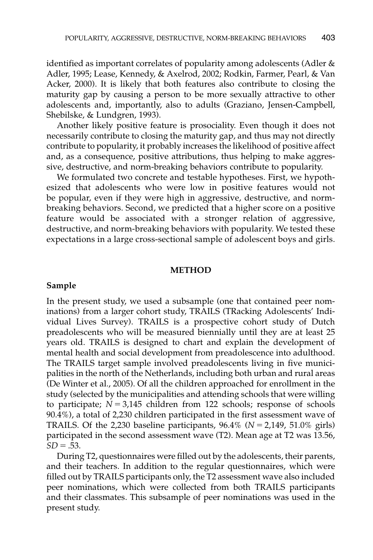identified as important correlates of popularity among adolescents (Adler & Adler, 1995; Lease, Kennedy, & Axelrod, 2002; Rodkin, Farmer, Pearl, & Van Acker, 2000). It is likely that both features also contribute to closing the maturity gap by causing a person to be more sexually attractive to other adolescents and, importantly, also to adults (Graziano, Jensen-Campbell, Shebilske, & Lundgren, 1993).

Another likely positive feature is prosociality. Even though it does not necessarily contribute to closing the maturity gap, and thus may not directly contribute to popularity, it probably increases the likelihood of positive affect and, as a consequence, positive attributions, thus helping to make aggressive, destructive, and norm-breaking behaviors contribute to popularity.

We formulated two concrete and testable hypotheses. First, we hypothesized that adolescents who were low in positive features would not be popular, even if they were high in aggressive, destructive, and normbreaking behaviors. Second, we predicted that a higher score on a positive feature would be associated with a stronger relation of aggressive, destructive, and norm-breaking behaviors with popularity. We tested these expectations in a large cross-sectional sample of adolescent boys and girls.

### METHOD

#### Sample

In the present study, we used a subsample (one that contained peer nominations) from a larger cohort study, TRAILS (TRacking Adolescents' Individual Lives Survey). TRAILS is a prospective cohort study of Dutch preadolescents who will be measured biennially until they are at least 25 years old. TRAILS is designed to chart and explain the development of mental health and social development from preadolescence into adulthood. The TRAILS target sample involved preadolescents living in five municipalities in the north of the Netherlands, including both urban and rural areas (De Winter et al., 2005). Of all the children approached for enrollment in the study (selected by the municipalities and attending schools that were willing to participate;  $N = 3,145$  children from 122 schools; response of schools 90.4%), a total of 2,230 children participated in the first assessment wave of TRAILS. Of the 2,230 baseline participants,  $96.4\%$  ( $N = 2,149$ , 51.0% girls) participated in the second assessment wave (T2). Mean age at T2 was 13.56,  $SD = .53$ .

During T2, questionnaires were filled out by the adolescents, their parents, and their teachers. In addition to the regular questionnaires, which were filled out by TRAILS participants only, the T2 assessment wave also included peer nominations, which were collected from both TRAILS participants and their classmates. This subsample of peer nominations was used in the present study.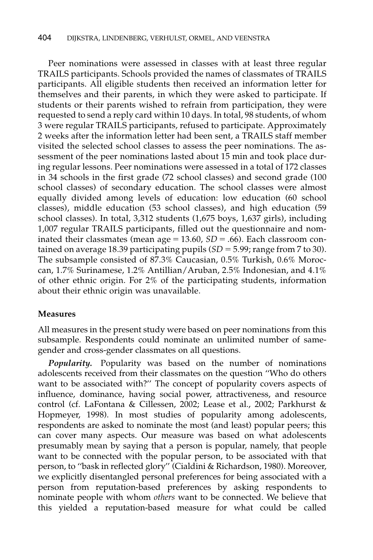Peer nominations were assessed in classes with at least three regular TRAILS participants. Schools provided the names of classmates of TRAILS participants. All eligible students then received an information letter for themselves and their parents, in which they were asked to participate. If students or their parents wished to refrain from participation, they were requested to send a reply card within 10 days. In total, 98 students, of whom 3 were regular TRAILS participants, refused to participate. Approximately 2 weeks after the information letter had been sent, a TRAILS staff member visited the selected school classes to assess the peer nominations. The assessment of the peer nominations lasted about 15 min and took place during regular lessons. Peer nominations were assessed in a total of 172 classes in 34 schools in the first grade (72 school classes) and second grade (100 school classes) of secondary education. The school classes were almost equally divided among levels of education: low education (60 school classes), middle education (53 school classes), and high education (59 school classes). In total, 3,312 students (1,675 boys, 1,637 girls), including 1,007 regular TRAILS participants, filled out the questionnaire and nominated their classmates (mean age = 13.60,  $SD = .66$ ). Each classroom contained on average 18.39 participating pupils  $(SD = 5.99)$ ; range from 7 to 30). The subsample consisted of 87.3% Caucasian, 0.5% Turkish, 0.6% Moroccan, 1.7% Surinamese, 1.2% Antillian/Aruban, 2.5% Indonesian, and 4.1% of other ethnic origin. For 2% of the participating students, information about their ethnic origin was unavailable.

# Measures

All measures in the present study were based on peer nominations from this subsample. Respondents could nominate an unlimited number of samegender and cross-gender classmates on all questions.

**Popularity.** Popularity was based on the number of nominations adolescents received from their classmates on the question ''Who do others want to be associated with?'' The concept of popularity covers aspects of influence, dominance, having social power, attractiveness, and resource control (cf. LaFontana & Cillessen, 2002; Lease et al., 2002; Parkhurst & Hopmeyer, 1998). In most studies of popularity among adolescents, respondents are asked to nominate the most (and least) popular peers; this can cover many aspects. Our measure was based on what adolescents presumably mean by saying that a person is popular, namely, that people want to be connected with the popular person, to be associated with that person, to ''bask in reflected glory'' (Cialdini & Richardson, 1980). Moreover, we explicitly disentangled personal preferences for being associated with a person from reputation-based preferences by asking respondents to nominate people with whom others want to be connected. We believe that this yielded a reputation-based measure for what could be called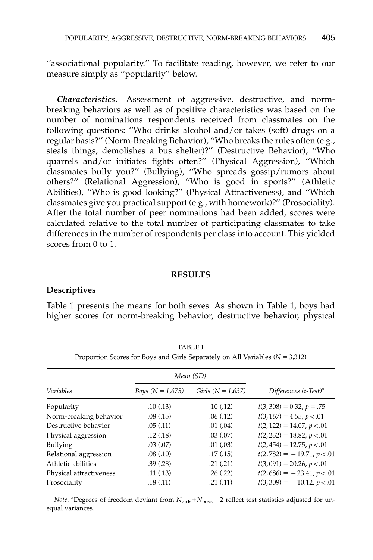"associational popularity." To facilitate reading, however, we refer to our measure simply as ''popularity'' below.

Characteristics. Assessment of aggressive, destructive, and normbreaking behaviors as well as of positive characteristics was based on the number of nominations respondents received from classmates on the following questions: ''Who drinks alcohol and/or takes (soft) drugs on a regular basis?'' (Norm-Breaking Behavior), ''Who breaks the rules often (e.g., steals things, demolishes a bus shelter)?'' (Destructive Behavior), ''Who quarrels and/or initiates fights often?'' (Physical Aggression), ''Which classmates bully you?'' (Bullying), ''Who spreads gossip/rumors about others?'' (Relational Aggression), ''Who is good in sports?'' (Athletic Abilities), ''Who is good looking?'' (Physical Attractiveness), and ''Which classmates give you practical support (e.g., with homework)?'' (Prosociality). After the total number of peer nominations had been added, scores were calculated relative to the total number of participating classmates to take differences in the number of respondents per class into account. This yielded scores from 0 to 1.

#### **RESULTS**

#### **Descriptives**

Table 1 presents the means for both sexes. As shown in Table 1, boys had higher scores for norm-breaking behavior, destructive behavior, physical

|                         |                           | Mean (SD)           |                                |
|-------------------------|---------------------------|---------------------|--------------------------------|
| <b>Variables</b>        | <i>Boys</i> $(N = 1,675)$ | Girls $(N = 1.637)$ | Differences $(t$ -Test $)^a$   |
| Popularity              | .10(0.13)                 | .10(0.12)           | $t(3,308) = 0.32, p = .75$     |
| Norm-breaking behavior  | .08(.15)                  | .06(.12)            | $t(3, 167) = 4.55, p < 0.01$   |
| Destructive behavior    | .05(0.11)                 | .01(.04)            | $t(2, 122) = 14.07, p < 0.01$  |
| Physical aggression     | .12(.18)                  | .03(.07)            | $t(2, 232) = 18.82, p < 0.01$  |
| <b>Bullying</b>         | .03(.07)                  | .01(.03)            | $t(2, 454) = 12.75, p < 0.01$  |
| Relational aggression   | .08(.10)                  | .17(0.15)           | $t(2, 782) = -19.71, p < 0.01$ |
| Athletic abilities      | .39(.28)                  | .21(.21)            | $t(3,091) = 20.26, p < 0.01$   |
| Physical attractiveness | .11(.13)                  | .26(.22)            | $t(2,686) = -23.41, p < 0.01$  |
| Prosociality            | .18(.11)                  | .21(.11)            | $t(3,309) = -10.12, p < 0.01$  |

TABLE 1 Proportion Scores for Boys and Girls Separately on All Variables  $(N = 3,312)$ 

Note. <sup>a</sup>Degrees of freedom deviant from  $N_{\text{girls}}+N_{\text{boys}}-2$  reflect test statistics adjusted for unequal variances.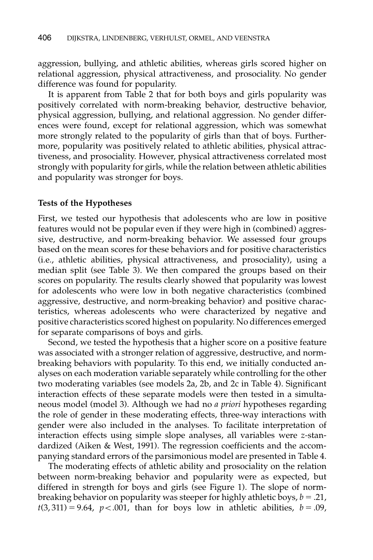aggression, bullying, and athletic abilities, whereas girls scored higher on relational aggression, physical attractiveness, and prosociality. No gender difference was found for popularity.

It is apparent from Table 2 that for both boys and girls popularity was positively correlated with norm-breaking behavior, destructive behavior, physical aggression, bullying, and relational aggression. No gender differences were found, except for relational aggression, which was somewhat more strongly related to the popularity of girls than that of boys. Furthermore, popularity was positively related to athletic abilities, physical attractiveness, and prosociality. However, physical attractiveness correlated most strongly with popularity for girls, while the relation between athletic abilities and popularity was stronger for boys.

# Tests of the Hypotheses

First, we tested our hypothesis that adolescents who are low in positive features would not be popular even if they were high in (combined) aggressive, destructive, and norm-breaking behavior. We assessed four groups based on the mean scores for these behaviors and for positive characteristics (i.e., athletic abilities, physical attractiveness, and prosociality), using a median split (see Table 3). We then compared the groups based on their scores on popularity. The results clearly showed that popularity was lowest for adolescents who were low in both negative characteristics (combined aggressive, destructive, and norm-breaking behavior) and positive characteristics, whereas adolescents who were characterized by negative and positive characteristics scored highest on popularity. No differences emerged for separate comparisons of boys and girls.

Second, we tested the hypothesis that a higher score on a positive feature was associated with a stronger relation of aggressive, destructive, and normbreaking behaviors with popularity. To this end, we initially conducted analyses on each moderation variable separately while controlling for the other two moderating variables (see models 2a, 2b, and 2c in Table 4). Significant interaction effects of these separate models were then tested in a simultaneous model (model 3). Although we had no a priori hypotheses regarding the role of gender in these moderating effects, three-way interactions with gender were also included in the analyses. To facilitate interpretation of interaction effects using simple slope analyses, all variables were z-standardized (Aiken & West, 1991). The regression coefficients and the accompanying standard errors of the parsimonious model are presented in Table 4.

The moderating effects of athletic ability and prosociality on the relation between norm-breaking behavior and popularity were as expected, but differed in strength for boys and girls (see Figure 1). The slope of normbreaking behavior on popularity was steeper for highly athletic boys,  $b = .21$ ,  $t(3, 311) = 9.64$ ,  $p < .001$ , than for boys low in athletic abilities,  $b = .09$ ,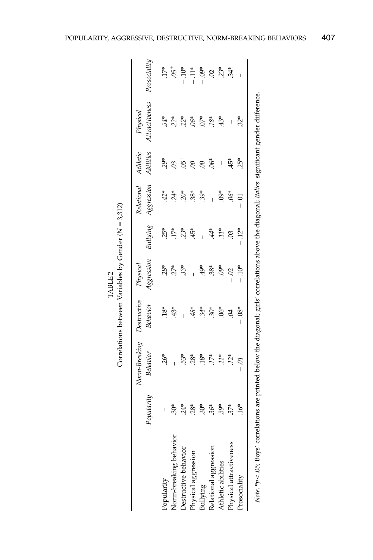|                         |            | Norm-Breaking | Destructive              | Physical       |                | Relational           | Athletic       | Physical                 |                   |
|-------------------------|------------|---------------|--------------------------|----------------|----------------|----------------------|----------------|--------------------------|-------------------|
|                         | Popularity | Behavior      | Behavior                 | Aggression     | Bullying       | Aggression           | Abilities      | <b>Attractiveness</b>    | Prosociality      |
| Popularity              |            | $26*$         | $.18*$                   | $28*$          | $25*$          | $41*$                | $.29*$         | 54*                      | $\sum_{i=1}^{n}$  |
| Norm-breaking behavior  | $30*$      | Ī             | $43*$                    | $.27*$         | $17*$          | $.24*$               | $\overline{0}$ | $.22*$                   | $.05^{+}$         |
| Destructive behavior    | $.24*$     | $53*$         | Ï                        | $33*$          | $.23*$         | $.20*$               | $-5$ .         | $.12*$                   | $\sum_{i=1}^{4}$  |
| Physical aggression     | $.28*$     | $28*$         | $48*$                    | $\overline{1}$ | $45*$          | $38*$                | $\infty$       | $.06*$                   | $\stackrel{*}{=}$ |
| Bullying                | $30*$      | $.18*$        | $34*$                    | $49*$          | $\overline{1}$ | $39*$                | $\infty$       | $\stackrel{*}{\circ}$    | $-0$ <sup>*</sup> |
| Relational aggression   | $.36*$     | $17*$         | $30*$                    | $.38*$         | $\ddot{t}$     | $\overline{1}$       | $.06*$         | $18\mathrm{*}$           | $\overline{0}$    |
| Athletic abilities      | $39*$      | $11*$         | $.06*$                   | $09*$          | $11*$          | $\ddot{\mathrm{60}}$ | I              | $43*$                    | $.23*$            |
| Physical attractiveness | $37*$      | $.12*$        | $\overline{\mathcal{O}}$ | SÒ.            | $\ddot{\circ}$ | $.06*$               | $45*$          | $\overline{\phantom{a}}$ | $34*$             |
| Prosociality            | $.16*$     | C.            | $.08*$                   | $.10*$         | $.12*$         | C).                  | $25*$          | $32*$                    |                   |

TABLE 2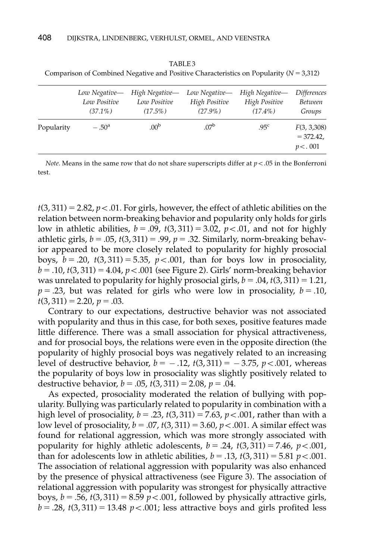|            |                                             | Comparison of Combined Negative and Positive Characteristics on Popularity ( $N = 3,312$ ) |                                              |                                               |                                      |
|------------|---------------------------------------------|--------------------------------------------------------------------------------------------|----------------------------------------------|-----------------------------------------------|--------------------------------------|
|            | Low Negative—<br>Low Positive<br>$(37.1\%)$ | High Negative—<br>Low Positive<br>$(17.5\%)$                                               | Low Negative—<br>High Positive<br>$(27.9\%)$ | High Negative—<br>High Positive<br>$(17.4\%)$ | Differences<br>Between<br>Groups     |
| Popularity | $-.50^{\rm a}$                              | .00 <sup>b</sup>                                                                           | .07 <sup>b</sup>                             | .95 <sup>c</sup>                              | F(3, 3,308)<br>$= 372.42,$<br>p<.001 |

TABLE 3

Note. Means in the same row that do not share superscripts differ at  $p<.05$  in the Bonferroni test.

 $t(3, 311) = 2.82$ ,  $p < 0.01$ . For girls, however, the effect of athletic abilities on the relation between norm-breaking behavior and popularity only holds for girls low in athletic abilities,  $b = .09$ ,  $t(3, 311) = 3.02$ ,  $p < .01$ , and not for highly athletic girls,  $b = .05$ ,  $t(3, 311) = .99$ ,  $p = .32$ . Similarly, norm-breaking behavior appeared to be more closely related to popularity for highly prosocial boys,  $b = .20$ ,  $t(3, 311) = 5.35$ ,  $p < .001$ , than for boys low in prosociality,  $b = .10$ ,  $t(3, 311) = 4.04$ ,  $p < .001$  (see Figure 2). Girls' norm-breaking behavior was unrelated to popularity for highly prosocial girls,  $b = .04$ ,  $t(3, 311) = 1.21$ ,  $p = 0.23$ , but was related for girls who were low in prosociality,  $b = 0.10$ ,  $t(3, 311) = 2.20, p = .03.$ 

Contrary to our expectations, destructive behavior was not associated with popularity and thus in this case, for both sexes, positive features made little difference. There was a small association for physical attractiveness, and for prosocial boys, the relations were even in the opposite direction (the popularity of highly prosocial boys was negatively related to an increasing level of destructive behavior,  $b = -.12$ ,  $t(3, 311) = -.3.75$ ,  $p < .001$ , whereas the popularity of boys low in prosociality was slightly positively related to destructive behavior,  $b = .05$ ,  $t(3, 311) = 2.08$ ,  $p = .04$ .

As expected, prosociality moderated the relation of bullying with popularity. Bullying was particularly related to popularity in combination with a high level of prosociality,  $b = .23$ ,  $t(3, 311) = 7.63$ ,  $p < .001$ , rather than with a low level of prosociality,  $b = .07$ ,  $t(3, 311) = 3.60$ ,  $p < .001$ . A similar effect was found for relational aggression, which was more strongly associated with popularity for highly athletic adolescents,  $b = .24$ ,  $t(3, 311) = 7.46$ ,  $p < .001$ , than for adolescents low in athletic abilities,  $b = .13$ ,  $t(3, 311) = 5.81$   $p < .001$ . The association of relational aggression with popularity was also enhanced by the presence of physical attractiveness (see Figure 3). The association of relational aggression with popularity was strongest for physically attractive boys,  $b = .56$ ,  $t(3, 311) = 8.59$   $p < .001$ , followed by physically attractive girls,  $b = .28$ ,  $t(3, 311) = 13.48$   $p < .001$ ; less attractive boys and girls profited less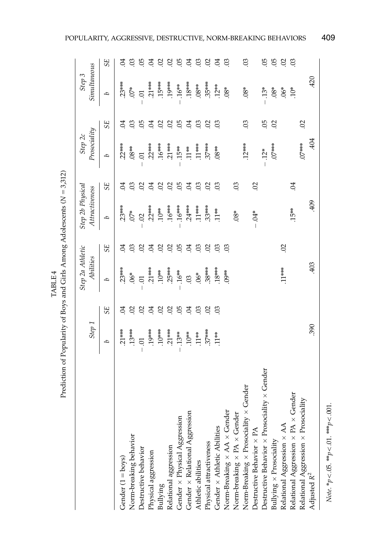|                                                                                                                           | Step $1$                                                                                                                                                                                                                                                                                                                                                                                                                     |                | Step 2a Athletic<br>Abilities                                                             |                | Step 2b Physical<br>Attractiveness                                                                                                                                                                                                                                                                                                         |               | Prosociality<br>Step $2c$                                                                                                                                                                                                                                                                                                                                                                                                                                                                             |                     | Simultaneous<br>$Step\,3$ |                |
|---------------------------------------------------------------------------------------------------------------------------|------------------------------------------------------------------------------------------------------------------------------------------------------------------------------------------------------------------------------------------------------------------------------------------------------------------------------------------------------------------------------------------------------------------------------|----------------|-------------------------------------------------------------------------------------------|----------------|--------------------------------------------------------------------------------------------------------------------------------------------------------------------------------------------------------------------------------------------------------------------------------------------------------------------------------------------|---------------|-------------------------------------------------------------------------------------------------------------------------------------------------------------------------------------------------------------------------------------------------------------------------------------------------------------------------------------------------------------------------------------------------------------------------------------------------------------------------------------------------------|---------------------|---------------------------|----------------|
|                                                                                                                           |                                                                                                                                                                                                                                                                                                                                                                                                                              | 3S             |                                                                                           | 3S             |                                                                                                                                                                                                                                                                                                                                            | 3S            |                                                                                                                                                                                                                                                                                                                                                                                                                                                                                                       | SE                  |                           | 5E             |
| Gender $(1 = \text{boys})$                                                                                                |                                                                                                                                                                                                                                                                                                                                                                                                                              | ड              | $23***$                                                                                   | ਣ              | $23***$                                                                                                                                                                                                                                                                                                                                    | ड             |                                                                                                                                                                                                                                                                                                                                                                                                                                                                                                       | ਤ                   |                           |                |
| Norm-breaking behavior                                                                                                    |                                                                                                                                                                                                                                                                                                                                                                                                                              |                | $.06*$                                                                                    | ප              |                                                                                                                                                                                                                                                                                                                                            |               |                                                                                                                                                                                                                                                                                                                                                                                                                                                                                                       |                     |                           | 8              |
| Destructive behavior                                                                                                      | $\begin{array}{r} .21^{***} \\ .13^{***} \\ .13^{***} \\ .19^{***} \\ .19^{***} \\ .19^{***} \\ .13^{***} \\ .13^{***} \\ .13^{***} \\ .13^{***} \\ .13^{***} \\ .13^{***} \\ .13^{***} \\ .13^{***} \\ .13^{***} \\ .13^{***} \\ .13^{***} \\ .13^{***} \\ .13^{***} \\ .13^{***} \\ .13^{***} \\ .13^{***} \\ .13^{***} \\ .13^{***} \\ .13^{***} \\ .13^{***} \\ .13^{***} \\ .13^{***} \\ .13^{***} \\ .13^{***} \\ .13$ |                |                                                                                           | 8              | $\begin{array}{r} .07^{*} \\ -0.22^{*}_{1} \\ 0.10^{*}_{1} \\ 0.10^{*}_{1} \\ 0.10^{*}_{1} \\ -1.6^{*}_{1} \\ 0.10^{*}_{1} \\ 0.10^{*}_{1} \\ 0.10^{*}_{1} \\ 0.10^{*}_{1} \\ 0.11^{*}_{1} \\ 0.11^{*}_{1} \\ 0.11^{*}_{1} \\ 0.11^{*}_{1} \\ 0.11^{*}_{1} \\ 0.11^{*}_{1} \\ 0.11^{*}_{1} \\ 0.11^{*}_{1} \\ 0.11^{*}_{1} \\ 0.11^{*}_{1$ |               | $\begin{array}{r} .22\overset{***}{\overset{***}{\overset{***}{\overset{***}{\overset{***}{\overset{***}{\overset{***}{\overset{***}{\overset{**}{\overset{**}{\overset{**}{\overset{**}{\overset{**}{\overset{**}{\overset{**}{\overset{**}{\overset{**}{\overset{**}{\overset{**}{\overset{**}{\overset{**}{\overset{**}{\overset{**}{\overset{**}{\overset{**}{\overset{**}{\overset{**}{\overset{**}{\overset{**}{\overset{**}{\overset{**}{\overset{**}{\overset{**}{\overset{**}{\overset{**}{$ | ర్                  |                           | 8              |
| Physical aggression                                                                                                       |                                                                                                                                                                                                                                                                                                                                                                                                                              | S.             | $-01$<br>$.21***$<br>$.10***$<br>$.10***$<br>$.16***$<br>$-16***$<br>$.03***$<br>$.38***$ | S,             |                                                                                                                                                                                                                                                                                                                                            | S,            |                                                                                                                                                                                                                                                                                                                                                                                                                                                                                                       | S,                  |                           | 2              |
|                                                                                                                           |                                                                                                                                                                                                                                                                                                                                                                                                                              | $\mathfrak{S}$ |                                                                                           | $\mathfrak{S}$ |                                                                                                                                                                                                                                                                                                                                            |               |                                                                                                                                                                                                                                                                                                                                                                                                                                                                                                       | $\mathcal{O}$       |                           | $\Omega$       |
|                                                                                                                           |                                                                                                                                                                                                                                                                                                                                                                                                                              | $\mathfrak{S}$ |                                                                                           | $\mathfrak{S}$ |                                                                                                                                                                                                                                                                                                                                            | 8             |                                                                                                                                                                                                                                                                                                                                                                                                                                                                                                       | $\mathcal{O}$       |                           |                |
| Bullying<br>Relational aggression<br>Cender × Physical Aggression<br>Cender × Relational Aggression<br>Athletic abilities |                                                                                                                                                                                                                                                                                                                                                                                                                              | 8              |                                                                                           | පි             |                                                                                                                                                                                                                                                                                                                                            | 8             |                                                                                                                                                                                                                                                                                                                                                                                                                                                                                                       | 95                  |                           | $\frac{2}{5}$  |
|                                                                                                                           |                                                                                                                                                                                                                                                                                                                                                                                                                              | S.             |                                                                                           | ੜ੍             |                                                                                                                                                                                                                                                                                                                                            | S.            |                                                                                                                                                                                                                                                                                                                                                                                                                                                                                                       | $\ddot{\mathrm{c}}$ |                           | $\mathfrak{S}$ |
|                                                                                                                           |                                                                                                                                                                                                                                                                                                                                                                                                                              | $\mathcal{L}$  |                                                                                           | S.             |                                                                                                                                                                                                                                                                                                                                            | S.            |                                                                                                                                                                                                                                                                                                                                                                                                                                                                                                       | $\mathbf{C}$        |                           | 03             |
| Physical attractiveness                                                                                                   |                                                                                                                                                                                                                                                                                                                                                                                                                              |                |                                                                                           | $\mathfrak{S}$ |                                                                                                                                                                                                                                                                                                                                            | $\mathcal{S}$ |                                                                                                                                                                                                                                                                                                                                                                                                                                                                                                       | $\mathcal{O}$       |                           | $\mathcal{O}$  |
| Gender $\times$ Athletic Abilities                                                                                        | $11**$                                                                                                                                                                                                                                                                                                                                                                                                                       |                |                                                                                           | පි             |                                                                                                                                                                                                                                                                                                                                            |               |                                                                                                                                                                                                                                                                                                                                                                                                                                                                                                       |                     |                           | S,             |
| Norm-Breaking $\times$ AA $\times$ Gender                                                                                 |                                                                                                                                                                                                                                                                                                                                                                                                                              |                | 09**                                                                                      |                |                                                                                                                                                                                                                                                                                                                                            |               |                                                                                                                                                                                                                                                                                                                                                                                                                                                                                                       |                     |                           | $\mathcal{S}$  |
| Norm-breaking $\times$ PA $\times$ Gender                                                                                 |                                                                                                                                                                                                                                                                                                                                                                                                                              |                |                                                                                           |                | $08*$                                                                                                                                                                                                                                                                                                                                      | S.            |                                                                                                                                                                                                                                                                                                                                                                                                                                                                                                       |                     |                           |                |
| Norm-Breaking $\times$ Prosociality $\times$ Gender                                                                       |                                                                                                                                                                                                                                                                                                                                                                                                                              |                |                                                                                           |                |                                                                                                                                                                                                                                                                                                                                            |               | $.12***$                                                                                                                                                                                                                                                                                                                                                                                                                                                                                              | $\overline{0}$      | $.08*$                    | $\overline{0}$ |
| $\times$ PA<br>Destructive Behavior                                                                                       |                                                                                                                                                                                                                                                                                                                                                                                                                              |                |                                                                                           |                | $-0.4*$                                                                                                                                                                                                                                                                                                                                    | S             |                                                                                                                                                                                                                                                                                                                                                                                                                                                                                                       |                     |                           |                |
| $\times$ Prosociality $\times$ Gender $_{\rm V}$<br>Destructive Behavior                                                  |                                                                                                                                                                                                                                                                                                                                                                                                                              |                |                                                                                           |                |                                                                                                                                                                                                                                                                                                                                            |               | $-12*$                                                                                                                                                                                                                                                                                                                                                                                                                                                                                                | 9Ö                  | $-0.13*$                  | 80             |
| $\text{Bullying}\times\text{Prosociality}$                                                                                |                                                                                                                                                                                                                                                                                                                                                                                                                              |                |                                                                                           |                |                                                                                                                                                                                                                                                                                                                                            |               | $.07***$                                                                                                                                                                                                                                                                                                                                                                                                                                                                                              | $\mathfrak{S}$      | $.08*$                    | 9G             |
| Relational Aggression $\times$ AA                                                                                         |                                                                                                                                                                                                                                                                                                                                                                                                                              |                | $.11***$                                                                                  | $\mathfrak{S}$ |                                                                                                                                                                                                                                                                                                                                            |               |                                                                                                                                                                                                                                                                                                                                                                                                                                                                                                       |                     | $.06*$                    | $\mathcal{O}$  |
| Relational Aggression $\times$ PA $\times$ Gender                                                                         |                                                                                                                                                                                                                                                                                                                                                                                                                              |                |                                                                                           |                | $.15***$                                                                                                                                                                                                                                                                                                                                   | S.            |                                                                                                                                                                                                                                                                                                                                                                                                                                                                                                       |                     | $10*$                     | $\mathcal{L}$  |
| Relational Aggression × Prosociality                                                                                      |                                                                                                                                                                                                                                                                                                                                                                                                                              |                |                                                                                           |                |                                                                                                                                                                                                                                                                                                                                            |               | $07***$                                                                                                                                                                                                                                                                                                                                                                                                                                                                                               | $\overline{0}$      |                           |                |
| Adjusted $\mathbb{R}^2$                                                                                                   | 390                                                                                                                                                                                                                                                                                                                                                                                                                          |                | 403                                                                                       |                | 409                                                                                                                                                                                                                                                                                                                                        |               | 404                                                                                                                                                                                                                                                                                                                                                                                                                                                                                                   |                     | 420                       |                |
|                                                                                                                           |                                                                                                                                                                                                                                                                                                                                                                                                                              |                |                                                                                           |                |                                                                                                                                                                                                                                                                                                                                            |               |                                                                                                                                                                                                                                                                                                                                                                                                                                                                                                       |                     |                           |                |

 $Note. * p < .05. * * p < .01. * * p < .001.$ Note. \* $p < 0$ 5. \* $p < 0.01$ . \*\*\* $p < 0.01$ .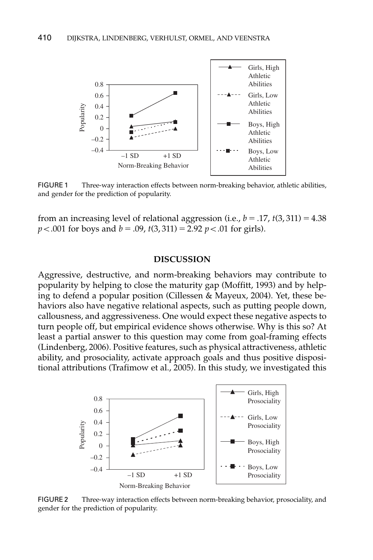

FIGURE 1 Three-way interaction effects between norm-breaking behavior, athletic abilities, and gender for the prediction of popularity.

from an increasing level of relational aggression (i.e.,  $b = .17$ ,  $t(3, 311) = 4.38$ )  $p < .001$  for boys and  $b = .09$ ,  $t(3, 311) = 2.92$   $p < .01$  for girls).

# **DISCUSSION**

Aggressive, destructive, and norm-breaking behaviors may contribute to popularity by helping to close the maturity gap (Moffitt, 1993) and by helping to defend a popular position (Cillessen & Mayeux, 2004). Yet, these behaviors also have negative relational aspects, such as putting people down, callousness, and aggressiveness. One would expect these negative aspects to turn people off, but empirical evidence shows otherwise. Why is this so? At least a partial answer to this question may come from goal-framing effects (Lindenberg, 2006). Positive features, such as physical attractiveness, athletic ability, and prosociality, activate approach goals and thus positive dispositional attributions (Trafimow et al., 2005). In this study, we investigated this



FIGURE 2 Three-way interaction effects between norm-breaking behavior, prosociality, and gender for the prediction of popularity.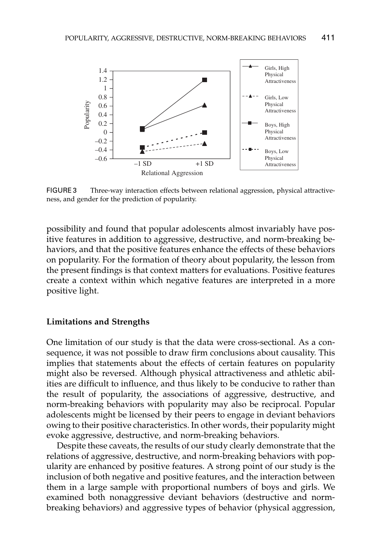

FIGURE 3 Three-way interaction effects between relational aggression, physical attractiveness, and gender for the prediction of popularity.

possibility and found that popular adolescents almost invariably have positive features in addition to aggressive, destructive, and norm-breaking behaviors, and that the positive features enhance the effects of these behaviors on popularity. For the formation of theory about popularity, the lesson from the present findings is that context matters for evaluations. Positive features create a context within which negative features are interpreted in a more positive light.

# Limitations and Strengths

One limitation of our study is that the data were cross-sectional. As a consequence, it was not possible to draw firm conclusions about causality. This implies that statements about the effects of certain features on popularity might also be reversed. Although physical attractiveness and athletic abilities are difficult to influence, and thus likely to be conducive to rather than the result of popularity, the associations of aggressive, destructive, and norm-breaking behaviors with popularity may also be reciprocal. Popular adolescents might be licensed by their peers to engage in deviant behaviors owing to their positive characteristics. In other words, their popularity might evoke aggressive, destructive, and norm-breaking behaviors.

Despite these caveats, the results of our study clearly demonstrate that the relations of aggressive, destructive, and norm-breaking behaviors with popularity are enhanced by positive features. A strong point of our study is the inclusion of both negative and positive features, and the interaction between them in a large sample with proportional numbers of boys and girls. We examined both nonaggressive deviant behaviors (destructive and normbreaking behaviors) and aggressive types of behavior (physical aggression,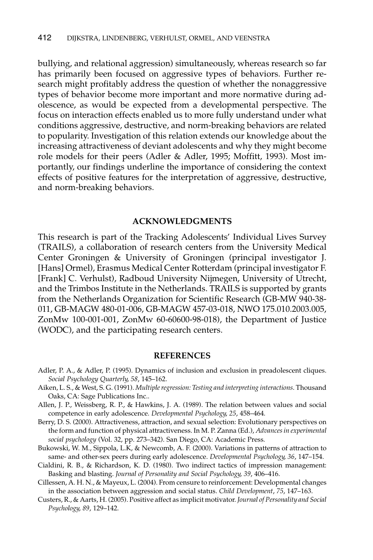bullying, and relational aggression) simultaneously, whereas research so far has primarily been focused on aggressive types of behaviors. Further research might profitably address the question of whether the nonaggressive types of behavior become more important and more normative during adolescence, as would be expected from a developmental perspective. The focus on interaction effects enabled us to more fully understand under what conditions aggressive, destructive, and norm-breaking behaviors are related to popularity. Investigation of this relation extends our knowledge about the increasing attractiveness of deviant adolescents and why they might become role models for their peers (Adler & Adler, 1995; Moffitt, 1993). Most importantly, our findings underline the importance of considering the context effects of positive features for the interpretation of aggressive, destructive, and norm-breaking behaviors.

# ACKNOWLEDGMENTS

This research is part of the Tracking Adolescents' Individual Lives Survey (TRAILS), a collaboration of research centers from the University Medical Center Groningen & University of Groningen (principal investigator J. [Hans] Ormel), Erasmus Medical Center Rotterdam (principal investigator F. [Frank] C. Verhulst), Radboud University Nijmegen, University of Utrecht, and the Trimbos Institute in the Netherlands. TRAILS is supported by grants from the Netherlands Organization for Scientific Research (GB-MW 940-38- 011, GB-MAGW 480-01-006, GB-MAGW 457-03-018, NWO 175.010.2003.005, ZonMw 100-001-001, ZonMw 60-60600-98-018), the Department of Justice (WODC), and the participating research centers.

# REFERENCES

- Adler, P. A., & Adler, P. (1995). Dynamics of inclusion and exclusion in preadolescent cliques. Social Psychology Quarterly, 58, 145–162.
- Aiken, L. S., & West, S. G. (1991). Multiple regression: Testing and interpreting interactions. Thousand Oaks, CA: Sage Publications Inc..
- Allen, J. P., Weissberg, R. P., & Hawkins, J. A. (1989). The relation between values and social competence in early adolescence. Developmental Psychology, 25, 458–464.
- Berry, D. S. (2000). Attractiveness, attraction, and sexual selection: Evolutionary perspectives on the form and function of physical attractiveness. In M. P. Zanna (Ed.), Advances in experimental social psychology (Vol. 32, pp. 273–342). San Diego, CA: Academic Press.
- Bukowski, W. M., Sippola, L.K, & Newcomb, A. F. (2000). Variations in patterns of attraction to same- and other-sex peers during early adolescence. Developmental Psychology, 36, 147–154.
- Cialdini, R. B., & Richardson, K. D. (1980). Two indirect tactics of impression management: Basking and blasting. Journal of Personality and Social Psychology, 39, 406–416.
- Cillessen, A. H. N., & Mayeux, L. (2004). From censure to reinforcement: Developmental changes in the association between aggression and social status. Child Development, 75, 147–163.
- Custers, R., & Aarts, H. (2005). Positive affect as implicit motivator. Journal of Personality and Social Psychology, 89, 129–142.